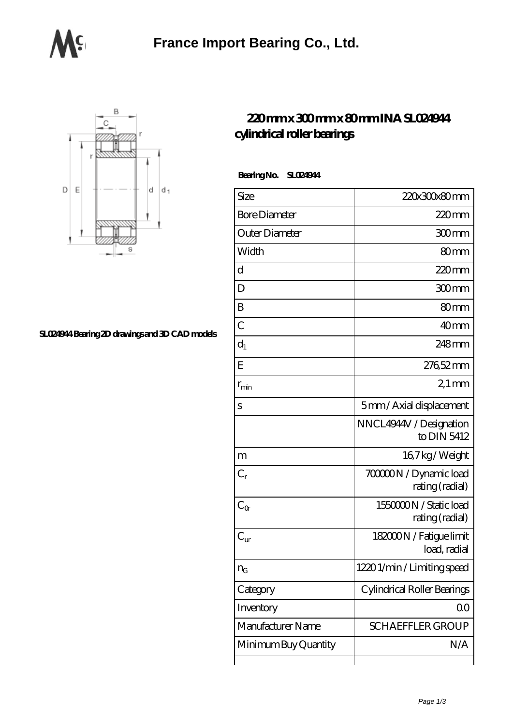



## **[SL024944 Bearing 2D drawings and 3D CAD models](https://m.bxjit.com/pic-168915.html)**

## **[220 mm x 300 mm x 80 mm INA SL024944](https://m.bxjit.com/am-168915-ina-sl024944-cylindrical-roller-bearings.html) [cylindrical roller bearings](https://m.bxjit.com/am-168915-ina-sl024944-cylindrical-roller-bearings.html)**

 **Bearing No. SL024944**

| Size                 | 220x300x80mm                              |
|----------------------|-------------------------------------------|
| <b>Bore Diameter</b> | 220mm                                     |
| Outer Diameter       | 300mm                                     |
| Width                | 80mm                                      |
| d                    | $220$ mm                                  |
| D                    | 300mm                                     |
| B                    | 80mm                                      |
| $\mathcal{C}$        | 40mm                                      |
| $d_1$                | 248mm                                     |
| E                    | 276,52mm                                  |
| $r_{\rm min}$        | $21 \,\mathrm{mm}$                        |
| S                    | 5mm/Axial displacement                    |
|                      | NNCL4944V / Designation<br>to DIN 5412    |
| m                    | 167kg/Weight                              |
| $C_r$                | 70000N / Dynamic load<br>rating (radial)  |
| $C_{\alpha}$         | 1550000N / Static load<br>rating (radial) |
| $C_{\rm ur}$         | 182000N / Fatigue limit<br>load, radial   |
| $n_G$                | 12201/min/Limitingspeed                   |
| Category             | Cylindrical Roller Bearings               |
| Inventory            | 00                                        |
| Manufacturer Name    | <b>SCHAEFFLER GROUP</b>                   |
| Minimum Buy Quantity | N/A                                       |
|                      |                                           |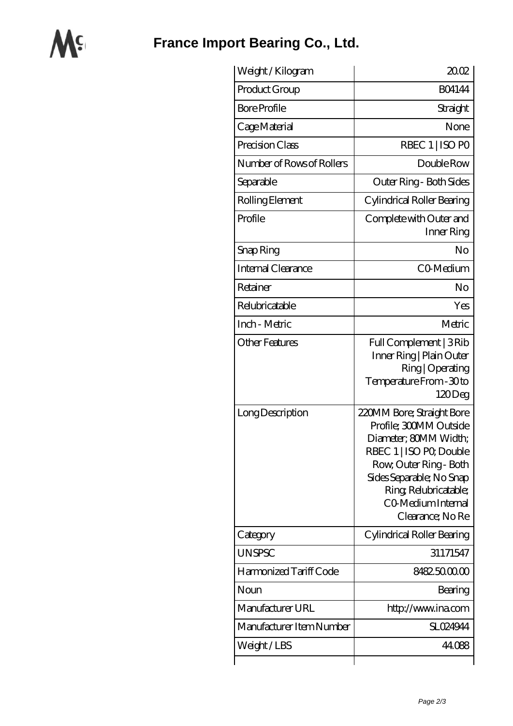

**[France Import Bearing Co., Ltd.](https://m.bxjit.com)**

| Weight /Kilogram          | 2002                                                                                                                                                                                                                             |
|---------------------------|----------------------------------------------------------------------------------------------------------------------------------------------------------------------------------------------------------------------------------|
| Product Group             | <b>BO4144</b>                                                                                                                                                                                                                    |
| <b>Bore Profile</b>       | Straight                                                                                                                                                                                                                         |
| Cage Material             | None                                                                                                                                                                                                                             |
| Precision Class           | RBEC 1   ISO PO                                                                                                                                                                                                                  |
| Number of Rows of Rollers | Double Row                                                                                                                                                                                                                       |
| Separable                 | Outer Ring - Both Sides                                                                                                                                                                                                          |
| Rolling Element           | Cylindrical Roller Bearing                                                                                                                                                                                                       |
| Profile                   | Complete with Outer and<br>Inner Ring                                                                                                                                                                                            |
| Snap Ring                 | No                                                                                                                                                                                                                               |
| Internal Clearance        | CO-Medium                                                                                                                                                                                                                        |
| Retainer                  | No                                                                                                                                                                                                                               |
| Relubricatable            | Yes                                                                                                                                                                                                                              |
| Inch - Metric             | Metric                                                                                                                                                                                                                           |
| <b>Other Features</b>     | Full Complement   3 Rib<br>Inner Ring   Plain Outer<br>Ring   Operating<br>Temperature From - 30 to<br>120Deg                                                                                                                    |
| Long Description          | 220MM Bore; Straight Bore<br>Profile; 300MM Outside<br>Diameter; 80MM Width;<br>RBEC 1   ISO PO, Double<br>Row, Outer Ring - Both<br>Sides Separable; No Snap<br>Ring, Relubricatable;<br>CO Medium Internal<br>Clearance; No Re |
| Category                  | Cylindrical Roller Bearing                                                                                                                                                                                                       |
| <b>UNSPSC</b>             | 31171547                                                                                                                                                                                                                         |
| Harmonized Tariff Code    | 8482.5000.00                                                                                                                                                                                                                     |
| Noun                      | Bearing                                                                                                                                                                                                                          |
| Manufacturer URL          | http://www.ina.com                                                                                                                                                                                                               |
| Manufacturer Item Number  | SLO24944                                                                                                                                                                                                                         |
| Weight/LBS                | 44.088                                                                                                                                                                                                                           |
|                           |                                                                                                                                                                                                                                  |